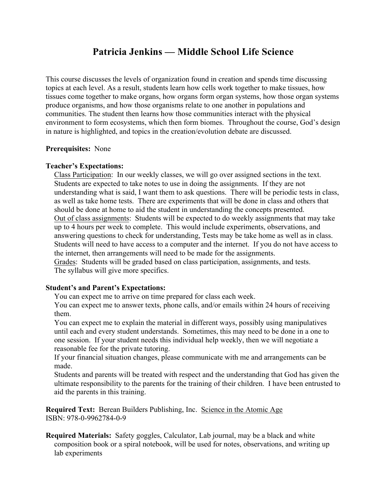## **Patricia Jenkins — Middle School Life Science**

This course discusses the levels of organization found in creation and spends time discussing topics at each level. As a result, students learn how cells work together to make tissues, how tissues come together to make organs, how organs form organ systems, how those organ systems produce organisms, and how those organisms relate to one another in populations and communities. The student then learns how those communities interact with the physical environment to form ecosystems, which then form biomes. Throughout the course, God's design in nature is highlighted, and topics in the creation/evolution debate are discussed.

## **Prerequisites:** None

## **Teacher's Expectations:**

Class Participation: In our weekly classes, we will go over assigned sections in the text. Students are expected to take notes to use in doing the assignments. If they are not understanding what is said, I want them to ask questions. There will be periodic tests in class, as well as take home tests. There are experiments that will be done in class and others that should be done at home to aid the student in understanding the concepts presented. Out of class assignments: Students will be expected to do weekly assignments that may take up to 4 hours per week to complete. This would include experiments, observations, and answering questions to check for understanding, Tests may be take home as well as in class. Students will need to have access to a computer and the internet. If you do not have access to the internet, then arrangements will need to be made for the assignments.

Grades: Students will be graded based on class participation, assignments, and tests. The syllabus will give more specifics.

## **Student's and Parent's Expectations:**

You can expect me to arrive on time prepared for class each week.

You can expect me to answer texts, phone calls, and/or emails within 24 hours of receiving them.

You can expect me to explain the material in different ways, possibly using manipulatives until each and every student understands. Sometimes, this may need to be done in a one to one session. If your student needs this individual help weekly, then we will negotiate a reasonable fee for the private tutoring.

If your financial situation changes, please communicate with me and arrangements can be made.

Students and parents will be treated with respect and the understanding that God has given the ultimate responsibility to the parents for the training of their children. I have been entrusted to aid the parents in this training.

**Required Text:** Berean Builders Publishing, Inc. Science in the Atomic Age ISBN: 978-0-9962784-0-9

**Required Materials:** Safety goggles, Calculator, Lab journal, may be a black and white composition book or a spiral notebook, will be used for notes, observations, and writing up lab experiments